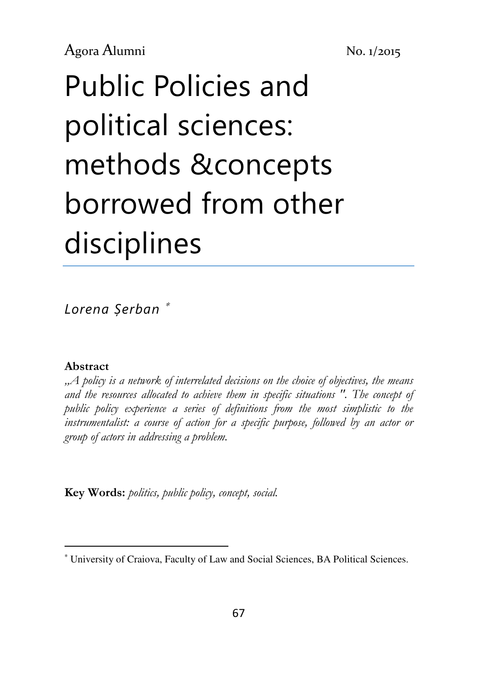# Public Policies and political sciences: methods &concepts borrowed from other disciplines

Lorena Șerban <sup>∗</sup>

#### Abstract

 $\overline{a}$ 

., A policy is a network of interrelated decisions on the choice of objectives, the means and the resources allocated to achieve them in specific situations ". The concept of public policy experience a series of definitions from the most simplistic to the instrumentalist: a course of action for a specific purpose, followed by an actor or group of actors in addressing a problem.

Key Words: politics, public policy, concept, social.

<sup>∗</sup> University of Craiova, Faculty of Law and Social Sciences, BA Political Sciences.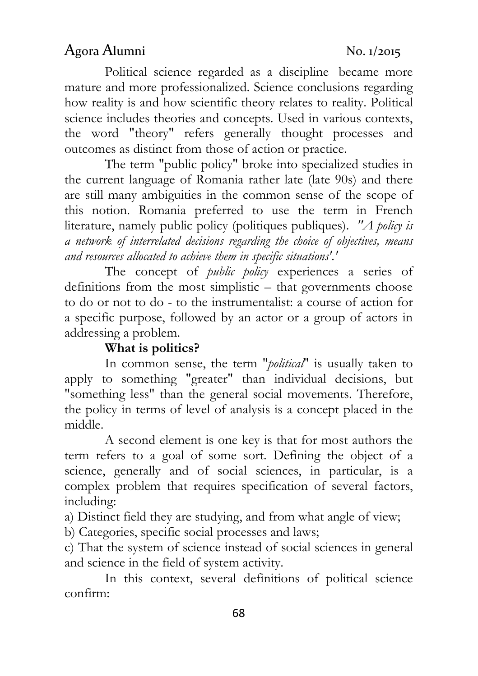Political science regarded as a discipline became more mature and more professionalized. Science conclusions regarding how reality is and how scientific theory relates to reality. Political science includes theories and concepts. Used in various contexts, the word "theory" refers generally thought processes and outcomes as distinct from those of action or practice.

The term "public policy" broke into specialized studies in the current language of Romania rather late (late 90s) and there are still many ambiguities in the common sense of the scope of this notion. Romania preferred to use the term in French literature, namely public policy (politiques publiques). "A policy is a network of interrelated decisions regarding the choice of objectives, means and resources allocated to achieve them in specific situations'.'

The concept of *public policy* experiences a series of definitions from the most simplistic – that governments choose to do or not to do - to the instrumentalist: a course of action for a specific purpose, followed by an actor or a group of actors in addressing a problem.

### What is politics?

In common sense, the term "*political*" is usually taken to apply to something "greater" than individual decisions, but "something less" than the general social movements. Therefore, the policy in terms of level of analysis is a concept placed in the middle.

A second element is one key is that for most authors the term refers to a goal of some sort. Defining the object of a science, generally and of social sciences, in particular, is a complex problem that requires specification of several factors, including:

a) Distinct field they are studying, and from what angle of view;

b) Categories, specific social processes and laws;

c) That the system of science instead of social sciences in general and science in the field of system activity.

In this context, several definitions of political science confirm: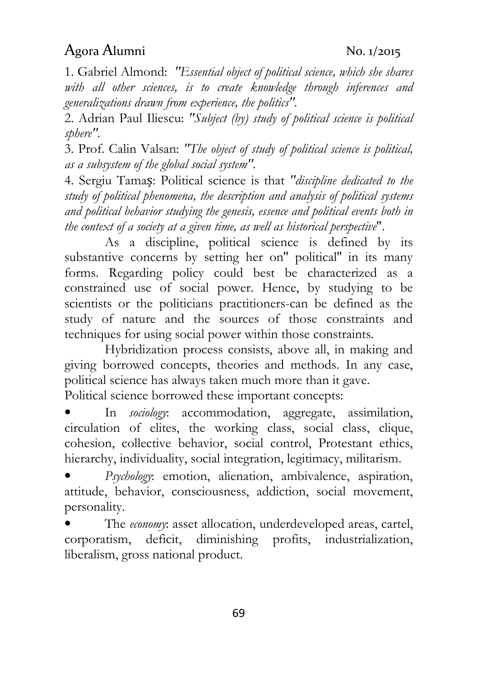1. Gabriel Almond: "Essential object of political science, which she shares with all other sciences, is to create knowledge through inferences and generalizations drawn from experience, the politics".

2. Adrian Paul Iliescu: "Subject (by) study of political science is political sphere".

3. Prof. Calin Valsan: "The object of study of political science is political, as a subsystem of the global social system".

4. Sergiu Tamaș: Political science is that "discipline dedicated to the study of political phenomena, the description and analysis of political systems and political behavior studying the genesis, essence and political events both in the context of a society at a given time, as well as historical perspective".

As a discipline, political science is defined by its substantive concerns by setting her on'' political'' in its many forms. Regarding policy could best be characterized as a constrained use of social power. Hence, by studying to be scientists or the politicians practitioners-can be defined as the study of nature and the sources of those constraints and techniques for using social power within those constraints.

Hybridization process consists, above all, in making and giving borrowed concepts, theories and methods. In any case, political science has always taken much more than it gave. Political science borrowed these important concepts:

In *sociology*: accommodation, aggregate, assimilation, circulation of elites, the working class, social class, clique, cohesion, collective behavior, social control, Protestant ethics, hierarchy, individuality, social integration, legitimacy, militarism.

• Psychology: emotion, alienation, ambivalence, aspiration, attitude, behavior, consciousness, addiction, social movement, personality.

The economy: asset allocation, underdeveloped areas, cartel, corporatism, deficit, diminishing profits, industrialization, liberalism, gross national product.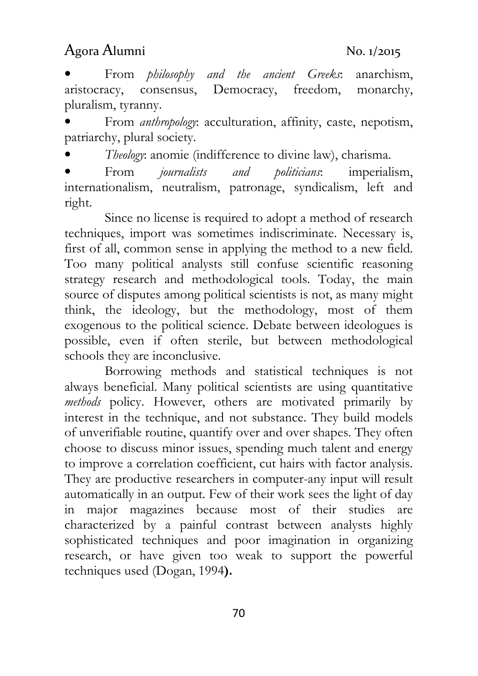From *philosophy and the ancient Greeks*: anarchism, aristocracy, consensus, Democracy, freedom, monarchy, pluralism, tyranny.

From *anthropology*: acculturation, affinity, caste, nepotism, patriarchy, plural society.

• Theology: anomie (indifference to divine law), charisma.

• From journalists and politicians: imperialism, internationalism, neutralism, patronage, syndicalism, left and right.

Since no license is required to adopt a method of research techniques, import was sometimes indiscriminate. Necessary is, first of all, common sense in applying the method to a new field. Too many political analysts still confuse scientific reasoning strategy research and methodological tools. Today, the main source of disputes among political scientists is not, as many might think, the ideology, but the methodology, most of them exogenous to the political science. Debate between ideologues is possible, even if often sterile, but between methodological schools they are inconclusive.

Borrowing methods and statistical techniques is not always beneficial. Many political scientists are using quantitative methods policy. However, others are motivated primarily by interest in the technique, and not substance. They build models of unverifiable routine, quantify over and over shapes. They often choose to discuss minor issues, spending much talent and energy to improve a correlation coefficient, cut hairs with factor analysis. They are productive researchers in computer-any input will result automatically in an output. Few of their work sees the light of day in major magazines because most of their studies are characterized by a painful contrast between analysts highly sophisticated techniques and poor imagination in organizing research, or have given too weak to support the powerful techniques used (Dogan, 1994).